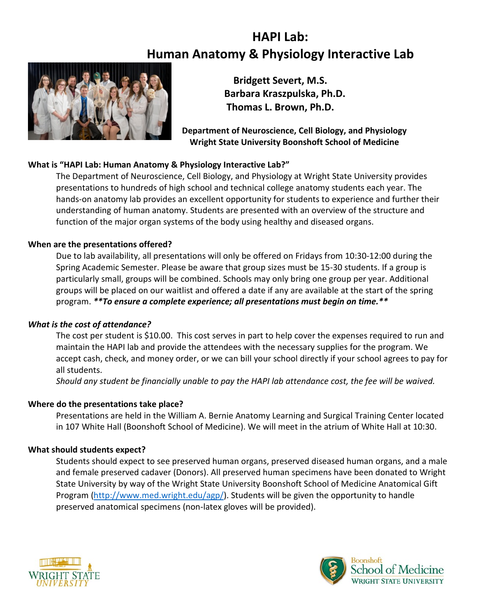# **HAPI Lab: Human Anatomy & Physiology Interactive Lab**



**Bridgett Severt, M.S. Barbara Kraszpulska, Ph.D. Thomas L. Brown, Ph.D.**

**Department of Neuroscience, Cell Biology, and Physiology Wright State University Boonshoft School of Medicine**

### **What is "HAPI Lab: Human Anatomy & Physiology Interactive Lab?"**

The Department of Neuroscience, Cell Biology, and Physiology at Wright State University provides presentations to hundreds of high school and technical college anatomy students each year. The hands-on anatomy lab provides an excellent opportunity for students to experience and further their understanding of human anatomy. Students are presented with an overview of the structure and function of the major organ systems of the body using healthy and diseased organs.

#### **When are the presentations offered?**

Due to lab availability, all presentations will only be offered on Fridays from 10:30-12:00 during the Spring Academic Semester. Please be aware that group sizes must be 15-30 students. If a group is particularly small, groups will be combined. Schools may only bring one group per year. Additional groups will be placed on our waitlist and offered a date if any are available at the start of the spring program. *\*\*To ensure a complete experience; all presentations must begin on time.\*\**

#### *What is the cost of attendance?*

The cost per student is \$10.00. This cost serves in part to help cover the expenses required to run and maintain the HAPI lab and provide the attendees with the necessary supplies for the program. We accept cash, check, and money order, or we can bill your school directly if your school agrees to pay for all students.

*Should any student be financially unable to pay the HAPI lab attendance cost, the fee will be waived.*

#### **Where do the presentations take place?**

Presentations are held in the William A. Bernie Anatomy Learning and Surgical Training Center located in 107 White Hall (Boonshoft School of Medicine). We will meet in the atrium of White Hall at 10:30.

#### **What should students expect?**

Students should expect to see preserved human organs, preserved diseased human organs, and a male and female preserved cadaver (Donors). All preserved human specimens have been donated to Wright State University by way of the Wright State University Boonshoft School of Medicine Anatomical Gift Program [\(http://www.med.wright.edu/agp/\)](http://www.med.wright.edu/agp/). Students will be given the opportunity to handle preserved anatomical specimens (non-latex gloves will be provided).



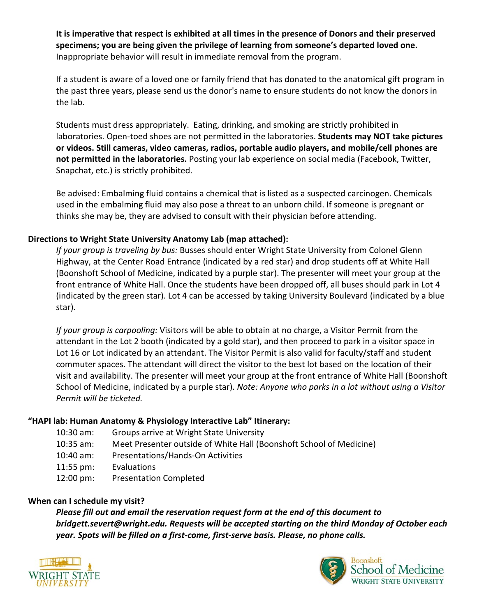**It is imperative that respect is exhibited at all times in the presence of Donors and their preserved specimens; you are being given the privilege of learning from someone's departed loved one.**  Inappropriate behavior will result in immediate removal from the program.

If a student is aware of a loved one or family friend that has donated to the anatomical gift program in the past three years, please send us the donor's name to ensure students do not know the donors in the lab.

Students must dress appropriately. Eating, drinking, and smoking are strictly prohibited in laboratories. Open-toed shoes are not permitted in the laboratories. **Students may NOT take pictures or videos. Still cameras, video cameras, radios, portable audio players, and mobile/cell phones are not permitted in the laboratories.** Posting your lab experience on social media (Facebook, Twitter, Snapchat, etc.) is strictly prohibited.

Be advised: Embalming fluid contains a chemical that is listed as a suspected carcinogen. Chemicals used in the embalming fluid may also pose a threat to an unborn child. If someone is pregnant or thinks she may be, they are advised to consult with their physician before attending.

## **Directions to Wright State University Anatomy Lab (map attached):**

*If your group is traveling by bus:* Busses should enter Wright State University from Colonel Glenn Highway, at the Center Road Entrance (indicated by a red star) and drop students off at White Hall (Boonshoft School of Medicine, indicated by a purple star). The presenter will meet your group at the front entrance of White Hall. Once the students have been dropped off, all buses should park in Lot 4 (indicated by the green star). Lot 4 can be accessed by taking University Boulevard (indicated by a blue star).

*If your group is carpooling:* Visitors will be able to obtain at no charge, a Visitor Permit from the attendant in the Lot 2 booth (indicated by a gold star), and then proceed to park in a visitor space in Lot 16 or Lot indicated by an attendant. The Visitor Permit is also valid for faculty/staff and student commuter spaces. The attendant will direct the visitor to the best lot based on the location of their visit and availability. The presenter will meet your group at the front entrance of White Hall (Boonshoft School of Medicine, indicated by a purple star). *Note: Anyone who parks in a lot without using a Visitor Permit will be ticketed.* 

#### **"HAPI lab: Human Anatomy & Physiology Interactive Lab" Itinerary:**

| 10:30 am: | Groups arrive at Wright State University                            |
|-----------|---------------------------------------------------------------------|
| 10:35 am: | Meet Presenter outside of White Hall (Boonshoft School of Medicine) |
| 10:40 am: | Presentations/Hands-On Activities                                   |
| 11:55 pm: | Evaluations                                                         |
| 12:00 pm: | <b>Presentation Completed</b>                                       |
|           |                                                                     |

#### **When can I schedule my visit?**

*Please fill out and email the reservation request form at the end of this document to bridgett.severt@wright.edu. Requests will be accepted starting on the third Monday of October each year. Spots will be filled on a first-come, first-serve basis. Please, no phone calls.*



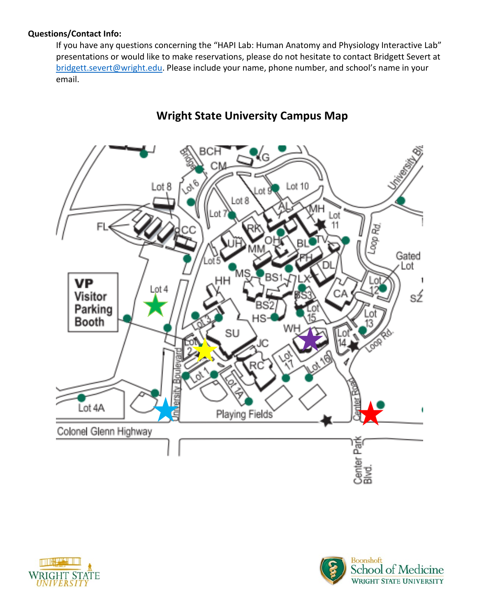## **Questions/Contact Info:**

If you have any questions concerning the "HAPI Lab: Human Anatomy and Physiology Interactive Lab" presentations or would like to make reservations, please do not hesitate to contact Bridgett Severt at [bridgett.severt@wright.edu.](mailto:bridgett.severt@wright.edu) Please include your name, phone number, and school's name in your email.



# **Wright State University Campus Map**